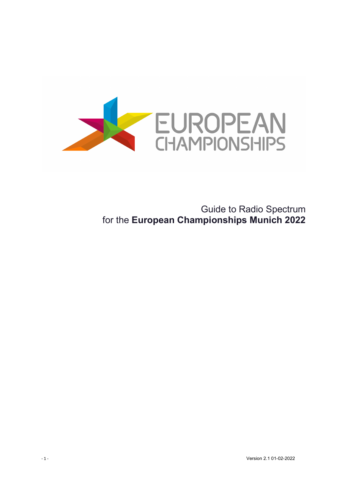

Guide to Radio Spectrum for the **European Championships Munich 2022**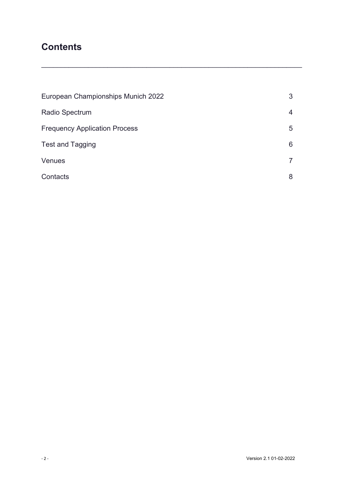# **Contents**

| European Championships Munich 2022   | 3 |
|--------------------------------------|---|
| Radio Spectrum                       | 4 |
| <b>Frequency Application Process</b> | 5 |
| <b>Test and Tagging</b>              | 6 |
| Venues                               |   |
| Contacts                             | 8 |

\_\_\_\_\_\_\_\_\_\_\_\_\_\_\_\_\_\_\_\_\_\_\_\_\_\_\_\_\_\_\_\_\_\_\_\_\_\_\_\_\_\_\_\_\_\_\_\_\_\_\_\_\_\_\_\_\_\_\_\_\_\_\_\_\_\_\_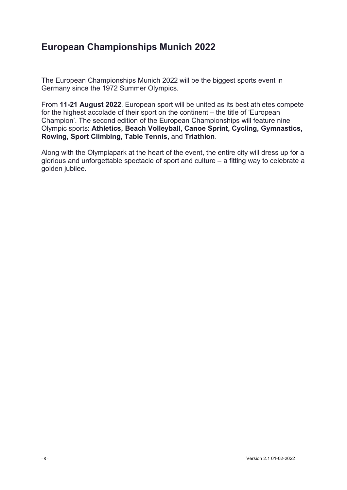### **European Championships Munich 2022**

The European Championships Munich 2022 will be the biggest sports event in Germany since the 1972 Summer Olympics.

From **11-21 August 2022**, European sport will be united as its best athletes compete for the highest accolade of their sport on the continent – the title of 'European Champion'. The second edition of the European Championships will feature nine Olympic sports: **Athletics, Beach Volleyball, Canoe Sprint, Cycling, Gymnastics, Rowing, Sport Climbing, Table Tennis,** and **Triathlon**.

Along with the Olympiapark at the heart of the event, the entire city will dress up for a glorious and unforgettable spectacle of sport and culture – a fitting way to celebrate a golden jubilee.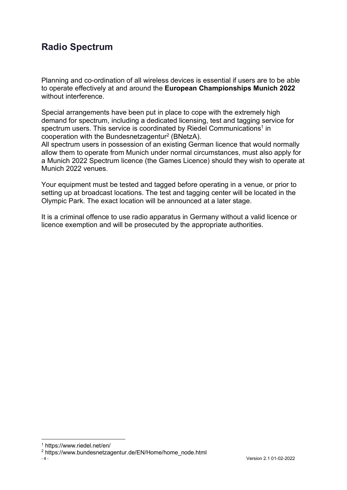### **Radio Spectrum**

Planning and co-ordination of all wireless devices is essential if users are to be able to operate effectively at and around the **European Championships Munich 2022** without interference.

Special arrangements have been put in place to cope with the extremely high demand for spectrum, including a dedicated licensing, test and tagging service for spectrum users. This service is coordinated by Riedel Communications<sup>1</sup> in cooperation with the Bundesnetzagentur2 (BNetzA).

All spectrum users in possession of an existing German licence that would normally allow them to operate from Munich under normal circumstances, must also apply for a Munich 2022 Spectrum licence (the Games Licence) should they wish to operate at Munich 2022 venues.

Your equipment must be tested and tagged before operating in a venue, or prior to setting up at broadcast locations. The test and tagging center will be located in the Olympic Park. The exact location will be announced at a later stage.

It is a criminal offence to use radio apparatus in Germany without a valid licence or licence exemption and will be prosecuted by the appropriate authorities.

 $\overline{a}$ 

<sup>1</sup> https://www.riedel.net/en/

<sup>2</sup> https://www.bundesnetzagentur.de/EN/Home/home\_node.html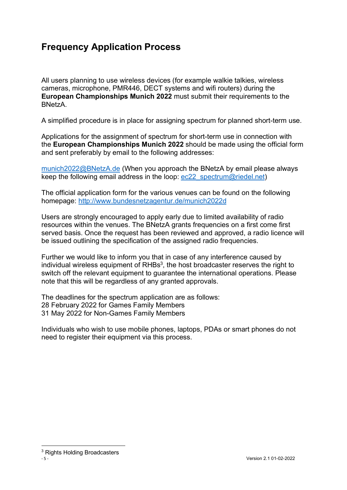# **Frequency Application Process**

All users planning to use wireless devices (for example walkie talkies, wireless cameras, microphone, PMR446, DECT systems and wifi routers) during the **European Championships Munich 2022** must submit their requirements to the BNetzA.

A simplified procedure is in place for assigning spectrum for planned short-term use.

Applications for the assignment of spectrum for short-term use in connection with the **European Championships Munich 2022** should be made using the official form and sent preferably by email to the following addresses:

munich2022@BNetzA.de (When you approach the BNetzA by email please always keep the following email address in the loop: ec22\_spectrum@riedel.net)

The official application form for the various venues can be found on the following homepage: http://www.bundesnetzagentur.de/munich2022d

Users are strongly encouraged to apply early due to limited availability of radio resources within the venues. The BNetzA grants frequencies on a first come first served basis. Once the request has been reviewed and approved, a radio licence will be issued outlining the specification of the assigned radio frequencies.

Further we would like to inform you that in case of any interference caused by individual wireless equipment of  $RHBs<sup>3</sup>$ , the host broadcaster reserves the right to switch off the relevant equipment to guarantee the international operations. Please note that this will be regardless of any granted approvals.

The deadlines for the spectrum application are as follows: 28 February 2022 for Games Family Members 31 May 2022 for Non-Games Family Members

Individuals who wish to use mobile phones, laptops, PDAs or smart phones do not need to register their equipment via this process.

 $\overline{a}$ <sup>3</sup> Rights Holding Broadcasters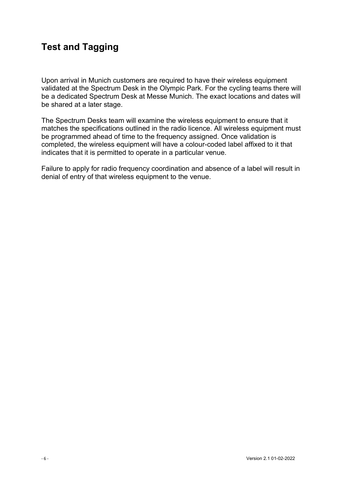# **Test and Tagging**

Upon arrival in Munich customers are required to have their wireless equipment validated at the Spectrum Desk in the Olympic Park. For the cycling teams there will be a dedicated Spectrum Desk at Messe Munich. The exact locations and dates will be shared at a later stage.

The Spectrum Desks team will examine the wireless equipment to ensure that it matches the specifications outlined in the radio licence. All wireless equipment must be programmed ahead of time to the frequency assigned. Once validation is completed, the wireless equipment will have a colour-coded label affixed to it that indicates that it is permitted to operate in a particular venue.

Failure to apply for radio frequency coordination and absence of a label will result in denial of entry of that wireless equipment to the venue.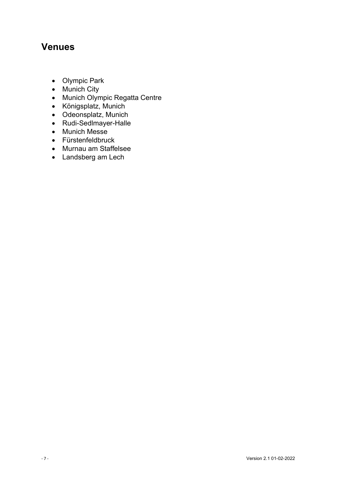### **Venues**

- Olympic Park
- Munich City
- Munich Olympic Regatta Centre
- Königsplatz, Munich
- Odeonsplatz, Munich
- Rudi-Sedlmayer-Halle
- Munich Messe
- Fürstenfeldbruck
- Murnau am Staffelsee
- Landsberg am Lech